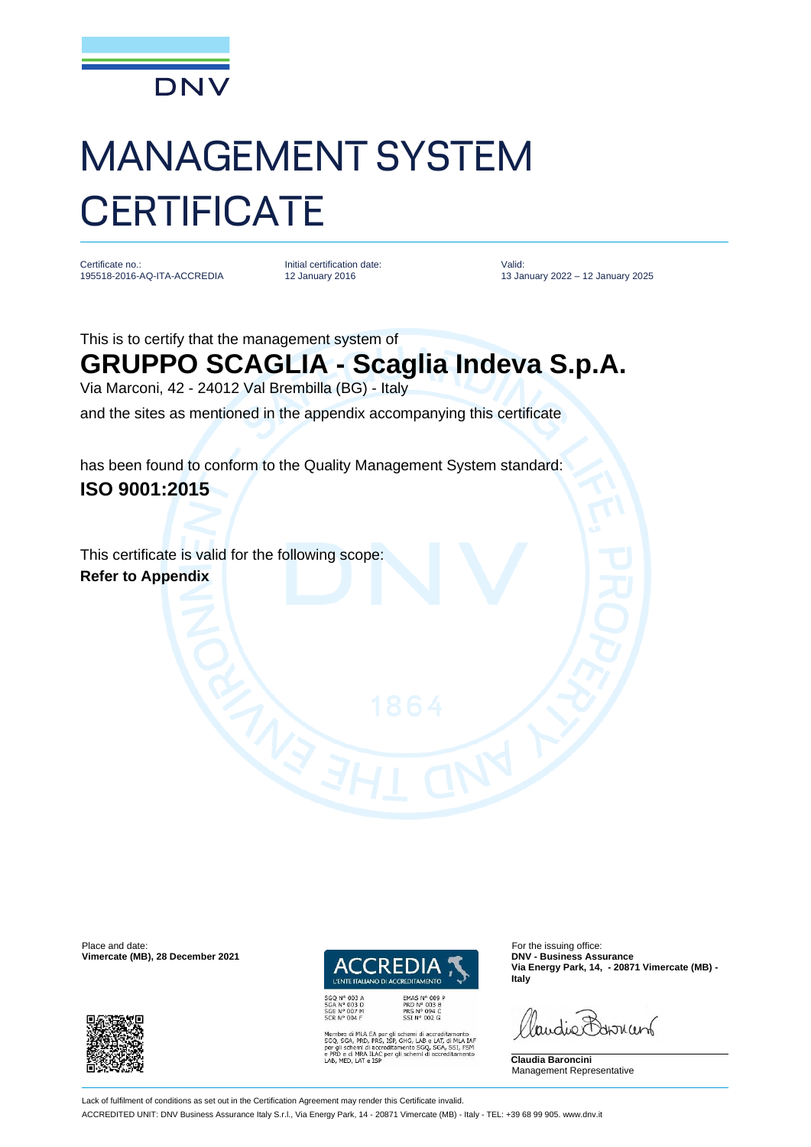

## MANAGEMENT SYSTEM **CERTIFICATE**

Certificate no.: 195518-2016-AQ-ITA-ACCREDIA Initial certification date: 12 January 2016

Valid: 13 January 2022 – 12 January 2025

This is to certify that the management system of

## **GRUPPO SCAGLIA - Scaglia Indeva S.p.A.**

Via Marconi, 42 - 24012 Val Brembilla (BG) - Italy

and the sites as mentioned in the appendix accompanying this certificate

has been found to conform to the Quality Management System standard: **ISO 9001:2015**

This certificate is valid for the following scope: **Refer to Appendix**

Place and date: For the issuing office:<br> **Place and date:** For the issuing office:<br> **Place and date:** For the issuing office:<br> **Place and date:** For the issuing office:





EMAS Nº 009 P<br>PRD Nº 003 B<br>PRS Nº 094 C<br>SSI Nº 002 G

A EA per gli schemi di accreditamento<br>D, PRS, ISP, GHG, LAB e LAT, di MLA IAF<br>di accreditamento SGQ, SGA, SSI, FSM<br>A ILAC per gli schemi di accreditamento<br>e LSP

**Via Energy Park, 14, - 20871 Vimercate (MB) - Italy**

landie Barnant

**Claudia Baroncini** Management Representative

Lack of fulfilment of conditions as set out in the Certification Agreement may render this Certificate invalid.

ACCREDITED UNIT: DNV Business Assurance Italy S.r.l., Via Energy Park, 14 - 20871 Vimercate (MB) - Italy - TEL: +39 68 99 905. www.dnv.it